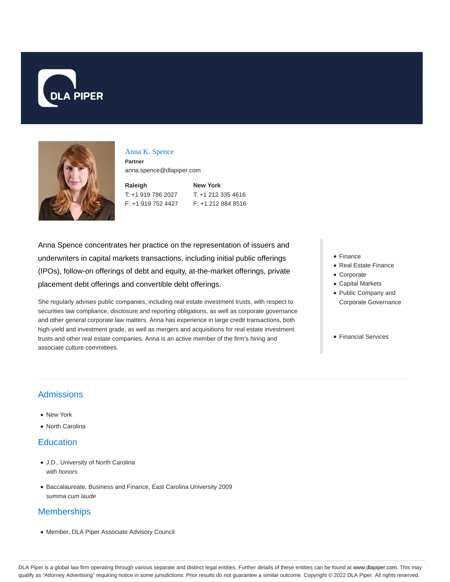



### Anna K. Spence

**Partner** anna.spence@dlapiper.com

**Raleigh** T: +1 919 786 2027 F: +1 919 752 4427 **New York** T: +1 212 335 4616 F: +1 212 884 8516

Anna Spence concentrates her practice on the representation of issuers and underwriters in capital markets transactions, including initial public offerings (IPOs), follow-on offerings of debt and equity, at-the-market offerings, private placement debt offerings and convertible debt offerings.

She regularly advises public companies, including real estate investment trusts, with respect to securities law compliance, disclosure and reporting obligations, as well as corporate governance and other general corporate law matters. Anna has experience in large credit transactions, both high-yield and investment grade, as well as mergers and acquisitions for real estate investment trusts and other real estate companies. Anna is an active member of the firm's hiring and associate culture committees.

- Finance
- Real Estate Finance
- Corporate
- Capital Markets
- Public Company and Corporate Governance
- Financial Services

# Admissions

- New York
- North Carolina

### **Education**

- J.D., University of North Carolina with honors
- Baccalaureate, Business and Finance, East Carolina University 2009 summa cum laude

## **Memberships**

Member, DLA Piper Associate Advisory Council

DLA Piper is a global law firm operating through various separate and distinct legal entities. Further details of these entities can be found at www.dlapiper.com. This may qualify as "Attorney Advertising" requiring notice in some jurisdictions. Prior results do not guarantee a similar outcome. Copyright © 2022 DLA Piper. All rights reserved.